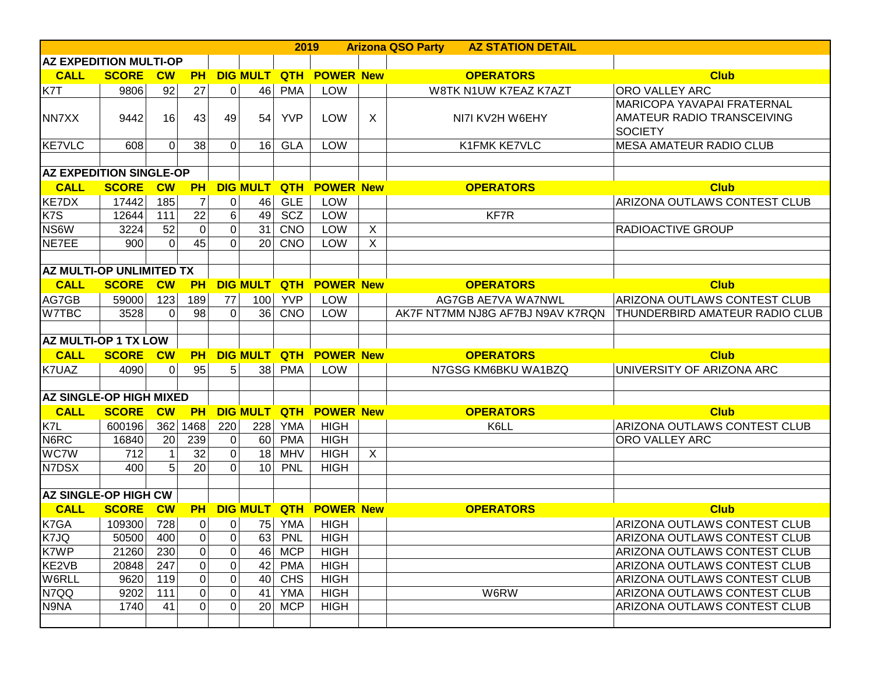|                                        |              |                        |                |          |                 | 2019                   |                            |                  | <b>Arizona QSO Party</b><br><b>AZ STATION DETAIL</b> |                                                                     |
|----------------------------------------|--------------|------------------------|----------------|----------|-----------------|------------------------|----------------------------|------------------|------------------------------------------------------|---------------------------------------------------------------------|
| <b>AZ EXPEDITION MULTI-OP</b>          |              |                        |                |          |                 |                        |                            |                  |                                                      |                                                                     |
| <b>CALL</b>                            | <b>SCORE</b> | $\overline{\text{cw}}$ | <b>PH</b>      |          | <b>DIG MULT</b> |                        | <b>QTH POWER New</b>       |                  | <b>OPERATORS</b>                                     | <b>Club</b>                                                         |
| K7T                                    | 9806         | 92                     | 27             | $\Omega$ |                 | 46 PMA                 | LOW                        |                  | W8TK N1UW K7EAZ K7AZT                                | <b>ORO VALLEY ARC</b>                                               |
|                                        |              |                        |                |          |                 |                        |                            |                  |                                                      | <b>MARICOPA YAVAPAI FRATERNAL</b>                                   |
| NN7XX                                  | 9442         | 16                     | 43             | 49       | 54              | <b>YVP</b>             | <b>LOW</b>                 | $\mathsf{X}$     | NI7I KV2H W6EHY                                      | AMATEUR RADIO TRANSCEIVING                                          |
|                                        |              |                        |                |          |                 |                        |                            |                  |                                                      | <b>SOCIETY</b>                                                      |
| KE7VLC                                 | 608          | $\overline{0}$         | 38             | $\Omega$ |                 | $16$ GLA               | <b>LOW</b>                 |                  | K1FMK KE7VLC                                         | <b>MESA AMATEUR RADIO CLUB</b>                                      |
|                                        |              |                        |                |          |                 |                        |                            |                  |                                                      |                                                                     |
| <b>AZ EXPEDITION SINGLE-OP</b>         |              |                        |                |          |                 |                        |                            |                  |                                                      |                                                                     |
| <b>CALL</b>                            | <b>SCORE</b> | $\overline{\text{cw}}$ | <b>PH</b>      |          | <b>DIG MULT</b> | <b>QTH</b>             | <b>POWER New</b>           |                  | <b>OPERATORS</b>                                     | <b>Club</b>                                                         |
| <b>KE7DX</b>                           | 17442        | 185                    | 7              | 0        | 46              | <b>GLE</b>             | <b>LOW</b>                 |                  |                                                      | ARIZONA OUTLAWS CONTEST CLUB                                        |
| K7S                                    | 12644        | 111                    | 22             | 6        | 49              | SCZ                    | LOW                        |                  | KF7R                                                 |                                                                     |
| NS6W                                   | 3224         | 52                     | $\mathbf 0$    | $\Omega$ | 31              | CNO                    | LOW                        | $\boldsymbol{X}$ |                                                      | RADIOACTIVE GROUP                                                   |
| NE7EE                                  | 900          | $\Omega$               | 45             | $\Omega$ |                 | $20$ CNO               | LOW                        | $\boldsymbol{X}$ |                                                      |                                                                     |
|                                        |              |                        |                |          |                 |                        |                            |                  |                                                      |                                                                     |
| <b>AZ MULTI-OP UNLIMITED TX</b>        |              |                        |                |          |                 |                        |                            |                  |                                                      |                                                                     |
| <b>CALL</b>                            | <b>SCORE</b> | $\overline{\text{cw}}$ | <b>PH</b>      |          | <b>DIG MULT</b> | <b>QTH</b>             | <b>POWER New</b>           |                  | <b>OPERATORS</b>                                     | <b>Club</b>                                                         |
| AG7GB                                  | 59000        | 123                    | 189            | 77       | 100             | <b>YVP</b>             | LOW                        |                  | <b>AG7GB AE7VA WA7NWL</b>                            | ARIZONA OUTLAWS CONTEST CLUB                                        |
| W7TBC                                  | 3528         | $\Omega$               | 98             | $\Omega$ |                 | 36 CNO                 | <b>LOW</b>                 |                  | AK7F NT7MM NJ8G AF7BJ N9AV K7RQN                     | <b>THUNDERBIRD AMATEUR RADIO CLUB</b>                               |
|                                        |              |                        |                |          |                 |                        |                            |                  |                                                      |                                                                     |
| <b>AZ MULTI-OP 1 TX LOW</b>            |              |                        |                |          |                 |                        |                            |                  |                                                      |                                                                     |
| <b>CALL</b>                            | <b>SCORE</b> | $\overline{\text{cw}}$ | <b>PH</b>      |          | <b>DIG MULT</b> |                        | <b>QTH POWER New</b>       |                  | <b>OPERATORS</b>                                     | <b>Club</b>                                                         |
| K7UAZ                                  | 4090         | $\overline{0}$         | 95             | 5        | 38              | <b>PMA</b>             | <b>LOW</b>                 |                  | N7GSG KM6BKU WA1BZQ                                  | UNIVERSITY OF ARIZONA ARC                                           |
|                                        |              |                        |                |          |                 |                        |                            |                  |                                                      |                                                                     |
| <b>AZ SINGLE-OP HIGH MIXED</b>         |              |                        |                |          |                 |                        |                            |                  |                                                      |                                                                     |
| <b>CALL</b>                            | <b>SCORE</b> | $\overline{\text{cw}}$ | <b>PH</b>      |          | <b>DIG MULT</b> | <b>QTH</b>             | <b>POWER New</b>           |                  | <b>OPERATORS</b>                                     | <b>Club</b>                                                         |
| K7L                                    | 600196       | 362                    | 1468           | 220      | 228             | <b>YMA</b>             | <b>HIGH</b>                |                  | K6LL                                                 | <b>ARIZONA OUTLAWS CONTEST CLUB</b>                                 |
| N6RC                                   | 16840        | 20                     | 239            | $\Omega$ |                 | 60 PMA                 | <b>HIGH</b>                |                  |                                                      | <b>ORO VALLEY ARC</b>                                               |
| <b>WC7W</b>                            | 712          | $\mathbf{1}$           | 32             | 0        | 18              | <b>MHV</b>             | <b>HIGH</b>                | $\mathsf{X}$     |                                                      |                                                                     |
| N7DSX                                  | 400          | 5                      | 20             | $\Omega$ | 10 <sup>1</sup> | <b>PNL</b>             | <b>HIGH</b>                |                  |                                                      |                                                                     |
|                                        |              |                        |                |          |                 |                        |                            |                  |                                                      |                                                                     |
| <b>AZ SINGLE-OP HIGH CW</b>            |              |                        |                |          |                 |                        |                            |                  |                                                      |                                                                     |
| <b>CALL</b>                            | <b>SCORE</b> | $\overline{\text{cw}}$ | <b>PH</b>      |          |                 |                        | DIG MULT QTH POWER New     |                  | <b>OPERATORS</b>                                     | <b>Club</b>                                                         |
| K7GA                                   | 109300       | 728                    | $\overline{0}$ | 0        |                 | $75$ YMA               | <b>HIGH</b>                |                  |                                                      | ARIZONA OUTLAWS CONTEST CLUB                                        |
| K7JQ                                   | 50500        | 400                    | $\mathbf 0$    | 0        | 63              | PNL                    | <b>HIGH</b>                |                  |                                                      | <b>ARIZONA OUTLAWS CONTEST CLUB</b>                                 |
|                                        |              | 230                    | $\mathbf 0$    | 0        | 46              | <b>MCP</b>             | <b>HIGH</b>                |                  |                                                      | ARIZONA OUTLAWS CONTEST CLUB                                        |
|                                        | 21260        |                        |                |          |                 |                        |                            |                  |                                                      |                                                                     |
|                                        | 20848        | 247                    | $\mathbf 0$    | 0        | 42              | <b>PMA</b>             | <b>HIGH</b>                |                  |                                                      | <b>ARIZONA OUTLAWS CONTEST CLUB</b>                                 |
|                                        | 9620         | 119                    | $\overline{0}$ | 0        |                 | $40$ CHS               | <b>HIGH</b>                |                  |                                                      | <b>ARIZONA OUTLAWS CONTEST CLUB</b>                                 |
| K7WP<br>KE2VB<br>W6RLL<br>N7QQ<br>N9NA | 9202<br>1740 | 111<br>41              | $\overline{0}$ | 0        | 41              | <b>YMA</b><br>$20$ MCP | <b>HIGH</b><br><b>HIGH</b> |                  | W6RW                                                 | <b>ARIZONA OUTLAWS CONTEST CLUB</b><br>ARIZONA OUTLAWS CONTEST CLUB |